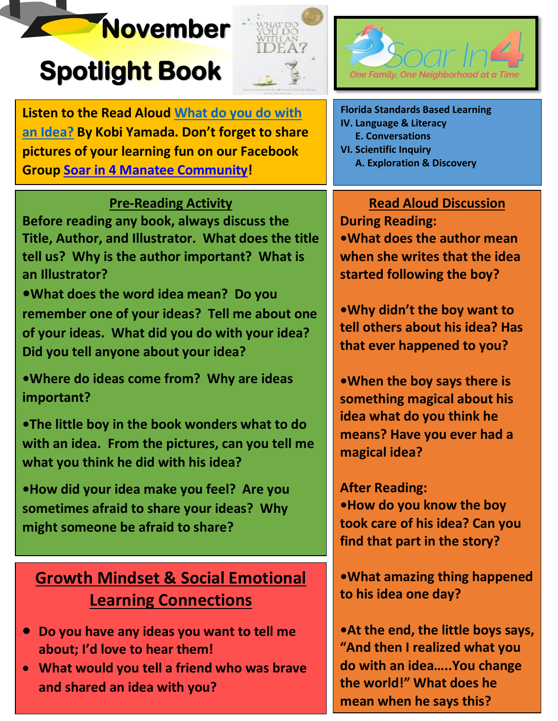# **November**

# **Spotlight Book**





**Listen to the Read Aloud [What do you do with](https://www.youtube.com/watch?v=0We9zl5J7hQ)  [an Idea?](https://www.youtube.com/watch?v=0We9zl5J7hQ) By Kobi Yamada. Don't forget to share pictures of your learning fun on our Facebook Group [Soar in 4 Manatee Community!](https://www.facebook.com/groups/1992394594389570/)**

## **Pre-Reading Activity**

**Before reading any book, always discuss the Title, Author, and Illustrator. What does the title tell us? Why is the author important? What is an Illustrator?**

**•What does the word idea mean? Do you remember one of your ideas? Tell me about one of your ideas. What did you do with your idea? Did you tell anyone about your idea?**

**•Where do ideas come from? Why are ideas important?**

**•The little boy in the book wonders what to do with an idea. From the pictures, can you tell me what you think he did with his idea?**

**•How did your idea make you feel? Are you sometimes afraid to share your ideas? Why might someone be afraid to share?**

# **Growth Mindset & Social Emotional Learning Connections**

- **Do you have any ideas you want to tell me about; I'd love to hear them!**
- **What would you tell a friend who was brave and shared an idea with you?**

**Florida Standards Based Learning IV. Language & Literacy E. Conversations VI. Scientific Inquiry A. Exploration & Discovery**

**Read Aloud Discussion During Reading: •What does the author mean when she writes that the idea started following the boy?**

**•Why didn't the boy want to tell others about his idea? Has that ever happened to you?**

**•When the boy says there is something magical about his idea what do you think he means? Have you ever had a magical idea?**

**After Reading: •How do you know the boy took care of his idea? Can you find that part in the story?**

**•What amazing thing happened to his idea one day?**

**•At the end, the little boys says, "And then I realized what you do with an idea…..You change the world!" What does he mean when he says this?**